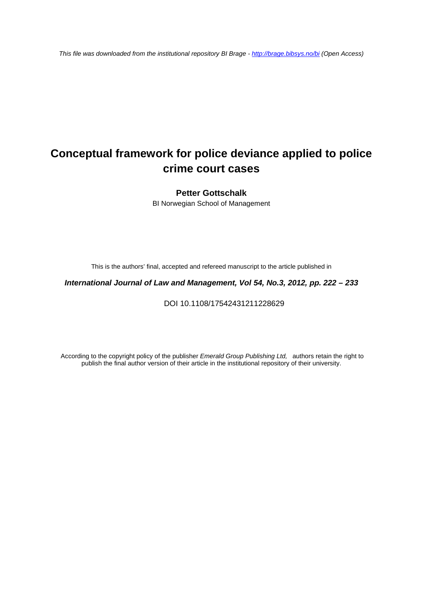*This file was downloaded from the institutional repository BI Brage - <http://brage.bibsys.no/bi> (Open Access)*

## **Conceptual framework for police deviance applied to police crime court cases**

#### **Petter Gottschalk**

BI Norwegian School of Management

This is the authors' final, accepted and refereed manuscript to the article published in

*International Journal of Law and Management, Vol 54, No.3, 2012, pp. 222 – 233*

DOI 10.1108/17542431211228629

According to the copyright policy of the publisher *Emerald Group Publishing Ltd,* authors retain the right to publish the final author version of their article in the institutional repository of their university.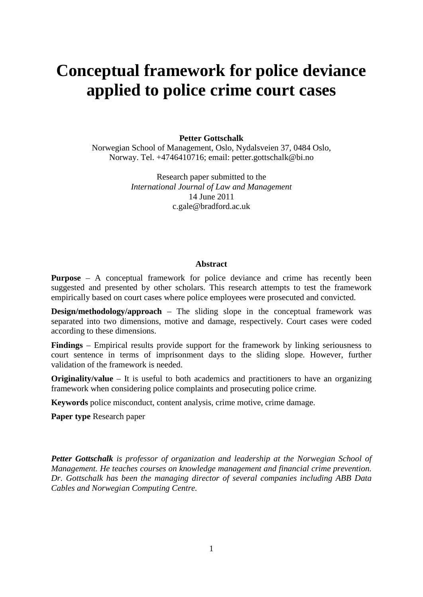# **Conceptual framework for police deviance applied to police crime court cases**

#### **Petter Gottschalk**

Norwegian School of Management, Oslo, Nydalsveien 37, 0484 Oslo, Norway. Tel. +4746410716; email: petter.gottschalk@bi.no

> Research paper submitted to the *International Journal of Law and Management* 14 June 2011 c.gale@bradford.ac.uk

#### **Abstract**

**Purpose** – A conceptual framework for police deviance and crime has recently been suggested and presented by other scholars. This research attempts to test the framework empirically based on court cases where police employees were prosecuted and convicted.

**Design/methodology/approach** – The sliding slope in the conceptual framework was separated into two dimensions, motive and damage, respectively. Court cases were coded according to these dimensions.

**Findings** – Empirical results provide support for the framework by linking seriousness to court sentence in terms of imprisonment days to the sliding slope. However, further validation of the framework is needed.

**Originality/value** – It is useful to both academics and practitioners to have an organizing framework when considering police complaints and prosecuting police crime.

**Keywords** police misconduct, content analysis, crime motive, crime damage.

**Paper type** Research paper

*Petter Gottschalk is professor of organization and leadership at the Norwegian School of Management. He teaches courses on knowledge management and financial crime prevention. Dr. Gottschalk has been the managing director of several companies including ABB Data Cables and Norwegian Computing Centre.*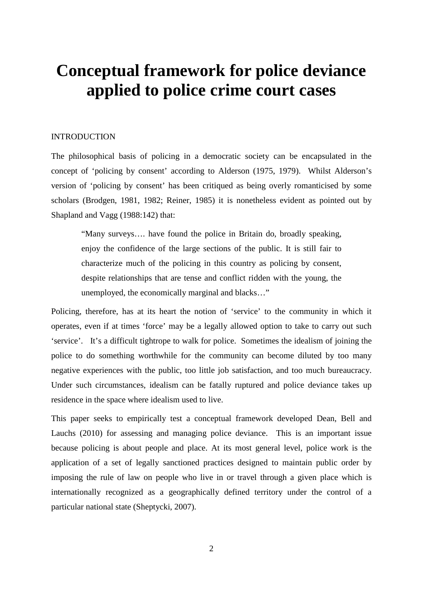# **Conceptual framework for police deviance applied to police crime court cases**

### **INTRODUCTION**

The philosophical basis of policing in a democratic society can be encapsulated in the concept of 'policing by consent' according to Alderson (1975, 1979). Whilst Alderson's version of 'policing by consent' has been critiqued as being overly romanticised by some scholars (Brodgen, 1981, 1982; Reiner, 1985) it is nonetheless evident as pointed out by Shapland and Vagg (1988:142) that:

"Many surveys…. have found the police in Britain do, broadly speaking, enjoy the confidence of the large sections of the public. It is still fair to characterize much of the policing in this country as policing by consent, despite relationships that are tense and conflict ridden with the young, the unemployed, the economically marginal and blacks…"

Policing, therefore, has at its heart the notion of 'service' to the community in which it operates, even if at times 'force' may be a legally allowed option to take to carry out such 'service'. It's a difficult tightrope to walk for police. Sometimes the idealism of joining the police to do something worthwhile for the community can become diluted by too many negative experiences with the public, too little job satisfaction, and too much bureaucracy. Under such circumstances, idealism can be fatally ruptured and police deviance takes up residence in the space where idealism used to live.

This paper seeks to empirically test a conceptual framework developed Dean, Bell and Lauchs (2010) for assessing and managing police deviance. This is an important issue because policing is about people and place. At its most general level, police work is the application of a set of legally sanctioned practices designed to maintain public order by imposing the rule of law on people who live in or travel through a given place which is internationally recognized as a geographically defined territory under the control of a particular national state (Sheptycki, 2007).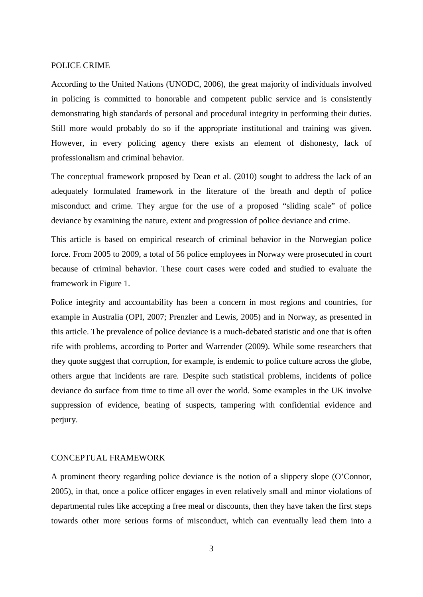#### POLICE CRIME

According to the United Nations (UNODC, 2006), the great majority of individuals involved in policing is committed to honorable and competent public service and is consistently demonstrating high standards of personal and procedural integrity in performing their duties. Still more would probably do so if the appropriate institutional and training was given. However, in every policing agency there exists an element of dishonesty, lack of professionalism and criminal behavior.

The conceptual framework proposed by Dean et al. (2010) sought to address the lack of an adequately formulated framework in the literature of the breath and depth of police misconduct and crime. They argue for the use of a proposed "sliding scale" of police deviance by examining the nature, extent and progression of police deviance and crime.

This article is based on empirical research of criminal behavior in the Norwegian police force. From 2005 to 2009, a total of 56 police employees in Norway were prosecuted in court because of criminal behavior. These court cases were coded and studied to evaluate the framework in Figure 1.

Police integrity and accountability has been a concern in most regions and countries, for example in Australia (OPI, 2007; Prenzler and Lewis, 2005) and in Norway, as presented in this article. The prevalence of police deviance is a much-debated statistic and one that is often rife with problems, according to Porter and Warrender (2009). While some researchers that they quote suggest that corruption, for example, is endemic to police culture across the globe, others argue that incidents are rare. Despite such statistical problems, incidents of police deviance do surface from time to time all over the world. Some examples in the UK involve suppression of evidence, beating of suspects, tampering with confidential evidence and perjury.

#### CONCEPTUAL FRAMEWORK

A prominent theory regarding police deviance is the notion of a slippery slope (O'Connor, 2005), in that, once a police officer engages in even relatively small and minor violations of departmental rules like accepting a free meal or discounts, then they have taken the first steps towards other more serious forms of misconduct, which can eventually lead them into a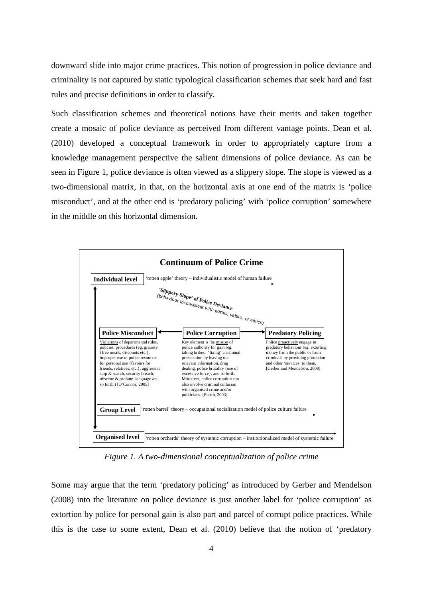downward slide into major crime practices. This notion of progression in police deviance and criminality is not captured by static typological classification schemes that seek hard and fast rules and precise definitions in order to classify.

Such classification schemes and theoretical notions have their merits and taken together create a mosaic of police deviance as perceived from different vantage points. Dean et al. (2010) developed a conceptual framework in order to appropriately capture from a knowledge management perspective the salient dimensions of police deviance. As can be seen in Figure 1, police deviance is often viewed as a slippery slope. The slope is viewed as a two-dimensional matrix, in that, on the horizontal axis at one end of the matrix is 'police misconduct', and at the other end is 'predatory policing' with 'police corruption' somewhere in the middle on this horizontal dimension.



*Figure 1. A two-dimensional conceptualization of police crime*

Some may argue that the term 'predatory policing' as introduced by Gerber and Mendelson (2008) into the literature on police deviance is just another label for 'police corruption' as extortion by police for personal gain is also part and parcel of corrupt police practices. While this is the case to some extent, Dean et al. (2010) believe that the notion of 'predatory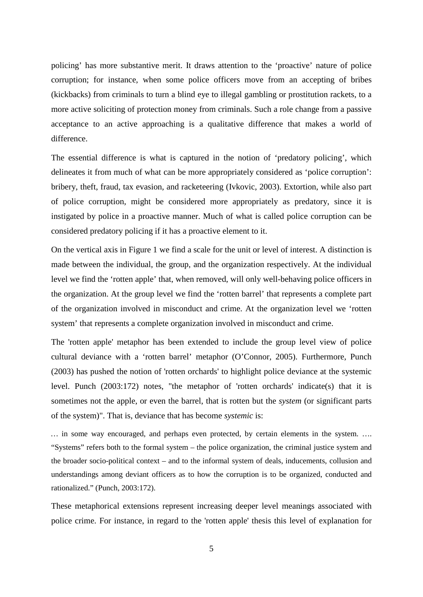policing' has more substantive merit. It draws attention to the 'proactive' nature of police corruption; for instance, when some police officers move from an accepting of bribes (kickbacks) from criminals to turn a blind eye to illegal gambling or prostitution rackets, to a more active soliciting of protection money from criminals. Such a role change from a passive acceptance to an active approaching is a qualitative difference that makes a world of difference.

The essential difference is what is captured in the notion of 'predatory policing', which delineates it from much of what can be more appropriately considered as 'police corruption': bribery, theft, fraud, tax evasion, and racketeering (Ivkovic, 2003). Extortion, while also part of police corruption, might be considered more appropriately as predatory, since it is instigated by police in a proactive manner. Much of what is called police corruption can be considered predatory policing if it has a proactive element to it.

On the vertical axis in Figure 1 we find a scale for the unit or level of interest. A distinction is made between the individual, the group, and the organization respectively. At the individual level we find the 'rotten apple' that, when removed, will only well-behaving police officers in the organization. At the group level we find the 'rotten barrel' that represents a complete part of the organization involved in misconduct and crime. At the organization level we 'rotten system' that represents a complete organization involved in misconduct and crime.

The 'rotten apple' metaphor has been extended to include the group level view of police cultural deviance with a 'rotten barrel' metaphor (O'Connor, 2005). Furthermore, Punch (2003) has pushed the notion of 'rotten orchards' to highlight police deviance at the systemic level. Punch (2003:172) notes, "the metaphor of 'rotten orchards' indicate(s) that it is sometimes not the apple, or even the barrel, that is rotten but the *system* (or significant parts of the system)". That is, deviance that has become *systemic* is:

*…* in some way encouraged, and perhaps even protected, by certain elements in the system. …. "Systems" refers both to the formal system – the police organization, the criminal justice system and the broader socio-political context – and to the informal system of deals, inducements, collusion and understandings among deviant officers as to how the corruption is to be organized, conducted and rationalized." (Punch, 2003:172).

These metaphorical extensions represent increasing deeper level meanings associated with police crime. For instance, in regard to the 'rotten apple' thesis this level of explanation for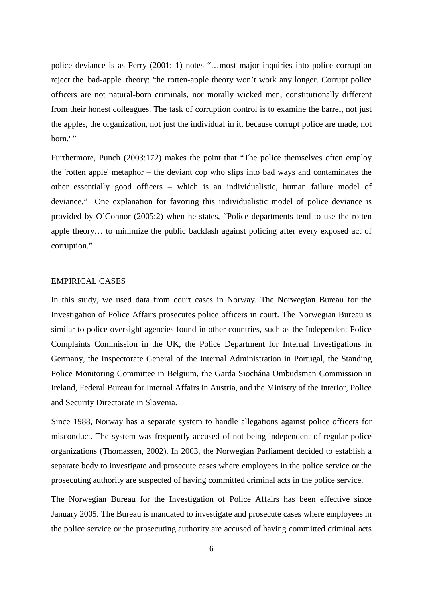police deviance is as Perry (2001: 1) notes "…most major inquiries into police corruption reject the 'bad-apple' theory: 'the rotten-apple theory won't work any longer. Corrupt police officers are not natural-born criminals, nor morally wicked men, constitutionally different from their honest colleagues. The task of corruption control is to examine the barrel, not just the apples, the organization, not just the individual in it, because corrupt police are made, not born.'"

Furthermore, Punch (2003:172) makes the point that "The police themselves often employ the 'rotten apple' metaphor – the deviant cop who slips into bad ways and contaminates the other essentially good officers – which is an individualistic, human failure model of deviance." One explanation for favoring this individualistic model of police deviance is provided by O'Connor (2005:2) when he states, "Police departments tend to use the rotten apple theory… to minimize the public backlash against policing after every exposed act of corruption."

#### EMPIRICAL CASES

In this study, we used data from court cases in Norway. The Norwegian Bureau for the Investigation of Police Affairs prosecutes police officers in court. The Norwegian Bureau is similar to police oversight agencies found in other countries, such as the Independent Police Complaints Commission in the UK, the Police Department for Internal Investigations in Germany, the Inspectorate General of the Internal Administration in Portugal, the Standing Police Monitoring Committee in Belgium, the Garda Siochána Ombudsman Commission in Ireland, Federal Bureau for Internal Affairs in Austria, and the Ministry of the Interior, Police and Security Directorate in Slovenia.

Since 1988, Norway has a separate system to handle allegations against police officers for misconduct. The system was frequently accused of not being independent of regular police organizations (Thomassen, 2002). In 2003, the Norwegian Parliament decided to establish a separate body to investigate and prosecute cases where employees in the police service or the prosecuting authority are suspected of having committed criminal acts in the police service.

The Norwegian Bureau for the Investigation of Police Affairs has been effective since January 2005. The Bureau is mandated to investigate and prosecute cases where employees in the police service or the prosecuting authority are accused of having committed criminal acts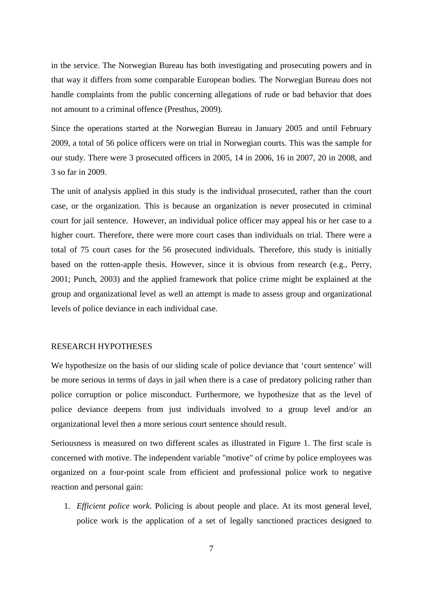in the service. The Norwegian Bureau has both investigating and prosecuting powers and in that way it differs from some comparable European bodies. The Norwegian Bureau does not handle complaints from the public concerning allegations of rude or bad behavior that does not amount to a criminal offence (Presthus, 2009).

Since the operations started at the Norwegian Bureau in January 2005 and until February 2009, a total of 56 police officers were on trial in Norwegian courts. This was the sample for our study. There were 3 prosecuted officers in 2005, 14 in 2006, 16 in 2007, 20 in 2008, and 3 so far in 2009.

The unit of analysis applied in this study is the individual prosecuted, rather than the court case, or the organization. This is because an organization is never prosecuted in criminal court for jail sentence. However, an individual police officer may appeal his or her case to a higher court. Therefore, there were more court cases than individuals on trial. There were a total of 75 court cases for the 56 prosecuted individuals. Therefore, this study is initially based on the rotten-apple thesis. However, since it is obvious from research (e.g., Perry, 2001; Punch, 2003) and the applied framework that police crime might be explained at the group and organizational level as well an attempt is made to assess group and organizational levels of police deviance in each individual case.

#### RESEARCH HYPOTHESES

We hypothesize on the basis of our sliding scale of police deviance that 'court sentence' will be more serious in terms of days in jail when there is a case of predatory policing rather than police corruption or police misconduct. Furthermore, we hypothesize that as the level of police deviance deepens from just individuals involved to a group level and/or an organizational level then a more serious court sentence should result.

Seriousness is measured on two different scales as illustrated in Figure 1. The first scale is concerned with motive. The independent variable "motive" of crime by police employees was organized on a four-point scale from efficient and professional police work to negative reaction and personal gain:

1. *Efficient police work*. Policing is about people and place. At its most general level, police work is the application of a set of legally sanctioned practices designed to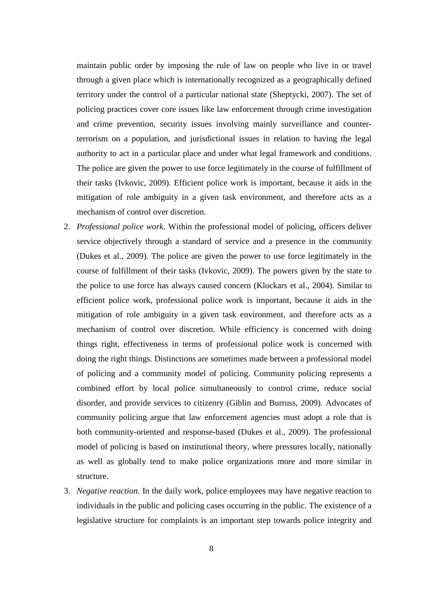maintain public order by imposing the rule of law on people who live in or travel through a given place which is internationally recognized as a geographically defined territory under the control of a particular national state (Sheptycki, 2007). The set of policing practices cover core issues like law enforcement through crime investigation and crime prevention, security issues involving mainly surveillance and counterterrorism on a population, and jurisdictional issues in relation to having the legal authority to act in a particular place and under what legal framework and conditions. The police are given the power to use force legitimately in the course of fulfillment of their tasks (Ivkovic, 2009). Efficient police work is important, because it aids in the mitigation of role ambiguity in a given task environment, and therefore acts as a mechanism of control over discretion.

- 2. *Professional police work*. Within the professional model of policing, officers deliver service objectively through a standard of service and a presence in the community (Dukes et al., 2009). The police are given the power to use force legitimately in the course of fulfillment of their tasks (Ivkovic, 2009). The powers given by the state to the police to use force has always caused concern (Klockars et al., 2004). Similar to efficient police work, professional police work is important, because it aids in the mitigation of role ambiguity in a given task environment, and therefore acts as a mechanism of control over discretion. While efficiency is concerned with doing things right, effectiveness in terms of professional police work is concerned with doing the right things. Distinctions are sometimes made between a professional model of policing and a community model of policing. Community policing represents a combined effort by local police simultaneously to control crime, reduce social disorder, and provide services to citizenry (Giblin and Burruss, 2009). Advocates of community policing argue that law enforcement agencies must adopt a role that is both community-oriented and response-based (Dukes et al., 2009). The professional model of policing is based on institutional theory, where pressures locally, nationally as well as globally tend to make police organizations more and more similar in structure.
- 3. *Negative reaction*. In the daily work, police employees may have negative reaction to individuals in the public and policing cases occurring in the public. The existence of a legislative structure for complaints is an important step towards police integrity and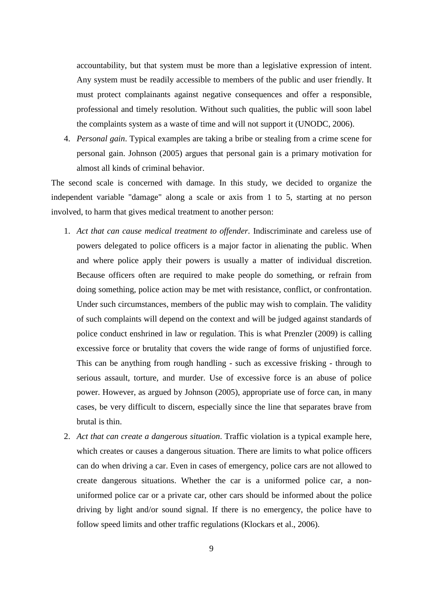accountability, but that system must be more than a legislative expression of intent. Any system must be readily accessible to members of the public and user friendly. It must protect complainants against negative consequences and offer a responsible, professional and timely resolution. Without such qualities, the public will soon label the complaints system as a waste of time and will not support it (UNODC, 2006).

4. *Personal gain*. Typical examples are taking a bribe or stealing from a crime scene for personal gain. Johnson (2005) argues that personal gain is a primary motivation for almost all kinds of criminal behavior.

The second scale is concerned with damage. In this study, we decided to organize the independent variable "damage" along a scale or axis from 1 to 5, starting at no person involved, to harm that gives medical treatment to another person:

- 1. *Act that can cause medical treatment to offender.* Indiscriminate and careless use of powers delegated to police officers is a major factor in alienating the public. When and where police apply their powers is usually a matter of individual discretion. Because officers often are required to make people do something, or refrain from doing something, police action may be met with resistance, conflict, or confrontation. Under such circumstances, members of the public may wish to complain. The validity of such complaints will depend on the context and will be judged against standards of police conduct enshrined in law or regulation. This is what Prenzler (2009) is calling excessive force or brutality that covers the wide range of forms of unjustified force. This can be anything from rough handling - such as excessive frisking - through to serious assault, torture, and murder. Use of excessive force is an abuse of police power. However, as argued by Johnson (2005), appropriate use of force can, in many cases, be very difficult to discern, especially since the line that separates brave from brutal is thin.
- 2. *Act that can create a dangerous situation*. Traffic violation is a typical example here, which creates or causes a dangerous situation. There are limits to what police officers can do when driving a car. Even in cases of emergency, police cars are not allowed to create dangerous situations. Whether the car is a uniformed police car, a nonuniformed police car or a private car, other cars should be informed about the police driving by light and/or sound signal. If there is no emergency, the police have to follow speed limits and other traffic regulations (Klockars et al., 2006).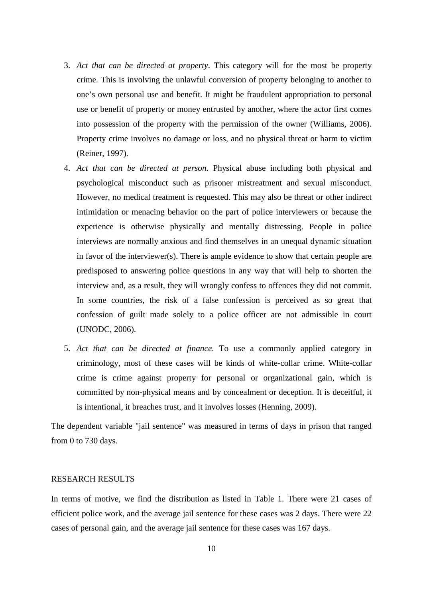- 3. *Act that can be directed at property*. This category will for the most be property crime. This is involving the unlawful conversion of property belonging to another to one's own personal use and benefit. It might be fraudulent appropriation to personal use or benefit of property or money entrusted by another, where the actor first comes into possession of the property with the permission of the owner (Williams, 2006). Property crime involves no damage or loss, and no physical threat or harm to victim (Reiner, 1997).
- 4. *Act that can be directed at person*. Physical abuse including both physical and psychological misconduct such as prisoner mistreatment and sexual misconduct. However, no medical treatment is requested. This may also be threat or other indirect intimidation or menacing behavior on the part of police interviewers or because the experience is otherwise physically and mentally distressing. People in police interviews are normally anxious and find themselves in an unequal dynamic situation in favor of the interviewer(s). There is ample evidence to show that certain people are predisposed to answering police questions in any way that will help to shorten the interview and, as a result, they will wrongly confess to offences they did not commit. In some countries, the risk of a false confession is perceived as so great that confession of guilt made solely to a police officer are not admissible in court (UNODC, 2006).
- 5. *Act that can be directed at finance*. To use a commonly applied category in criminology, most of these cases will be kinds of white-collar crime. White-collar crime is crime against property for personal or organizational gain, which is committed by non-physical means and by concealment or deception. It is deceitful, it is intentional, it breaches trust, and it involves losses (Henning, 2009).

The dependent variable "jail sentence" was measured in terms of days in prison that ranged from 0 to 730 days.

### RESEARCH RESULTS

In terms of motive, we find the distribution as listed in Table 1. There were 21 cases of efficient police work, and the average jail sentence for these cases was 2 days. There were 22 cases of personal gain, and the average jail sentence for these cases was 167 days.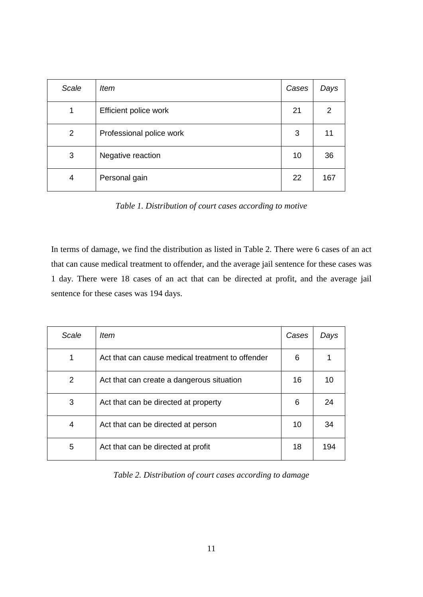| Scale | <i>Item</i>              | Cases | Days           |
|-------|--------------------------|-------|----------------|
| 1     | Efficient police work    | 21    | $\overline{2}$ |
| 2     | Professional police work | 3     | 11             |
| 3     | Negative reaction        | 10    | 36             |
| 4     | Personal gain            | 22    | 167            |

*Table 1. Distribution of court cases according to motive*

In terms of damage, we find the distribution as listed in Table 2. There were 6 cases of an act that can cause medical treatment to offender, and the average jail sentence for these cases was 1 day. There were 18 cases of an act that can be directed at profit, and the average jail sentence for these cases was 194 days.

| Scale | ltem                                             | Cases | Days |
|-------|--------------------------------------------------|-------|------|
|       | Act that can cause medical treatment to offender | 6     |      |
| 2     | Act that can create a dangerous situation        | 16    | 10   |
| 3     | Act that can be directed at property             | 6     | 24   |
| 4     | Act that can be directed at person               | 10    | 34   |
| 5     | Act that can be directed at profit               | 18    | 194  |

*Table 2. Distribution of court cases according to damage*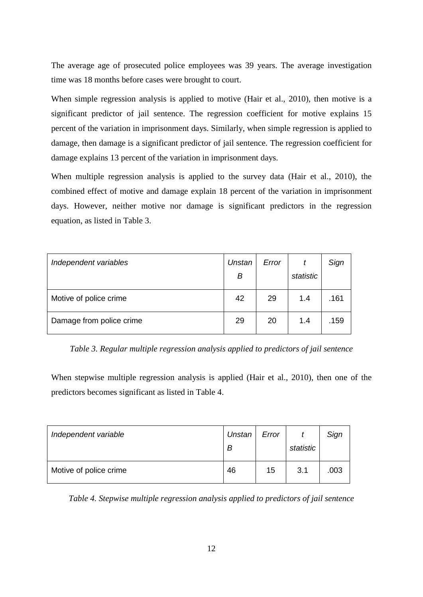The average age of prosecuted police employees was 39 years. The average investigation time was 18 months before cases were brought to court.

When simple regression analysis is applied to motive (Hair et al., 2010), then motive is a significant predictor of jail sentence. The regression coefficient for motive explains 15 percent of the variation in imprisonment days. Similarly, when simple regression is applied to damage, then damage is a significant predictor of jail sentence. The regression coefficient for damage explains 13 percent of the variation in imprisonment days.

When multiple regression analysis is applied to the survey data (Hair et al., 2010), the combined effect of motive and damage explain 18 percent of the variation in imprisonment days. However, neither motive nor damage is significant predictors in the regression equation, as listed in Table 3.

| Independent variables    | Unstan | Error |           | Sign |
|--------------------------|--------|-------|-----------|------|
|                          | В      |       | statistic |      |
| Motive of police crime   | 42     | 29    | 1.4       | .161 |
| Damage from police crime | 29     | 20    | 1.4       | .159 |

*Table 3. Regular multiple regression analysis applied to predictors of jail sentence*

When stepwise multiple regression analysis is applied (Hair et al., 2010), then one of the predictors becomes significant as listed in Table 4.

| Independent variable   | Unstan<br>В | Error | statistic | Sign |
|------------------------|-------------|-------|-----------|------|
| Motive of police crime | 46          | 15    | 3.1       | .003 |

*Table 4. Stepwise multiple regression analysis applied to predictors of jail sentence*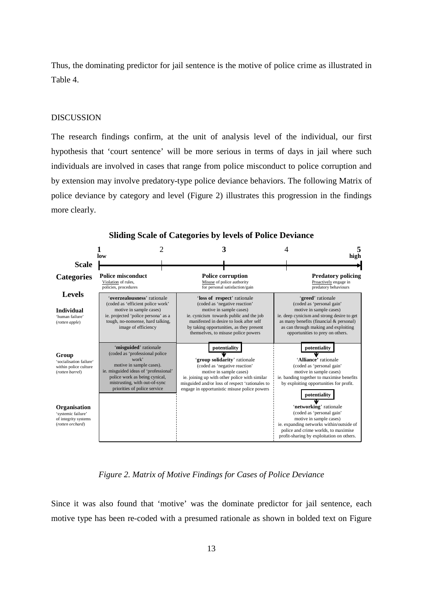Thus, the dominating predictor for jail sentence is the motive of police crime as illustrated in Table 4.

#### DISCUSSION

The research findings confirm, at the unit of analysis level of the individual, our first hypothesis that 'court sentence' will be more serious in terms of days in jail where such individuals are involved in cases that range from police misconduct to police corruption and by extension may involve predatory-type police deviance behaviors. The following Matrix of police deviance by category and level (Figure 2) illustrates this progression in the findings more clearly.



**Sliding Scale of Categories by levels of Police Deviance**

*Figure 2. Matrix of Motive Findings for Cases of Police Deviance*

Since it was also found that 'motive' was the dominate predictor for jail sentence, each motive type has been re-coded with a presumed rationale as shown in bolded text on Figure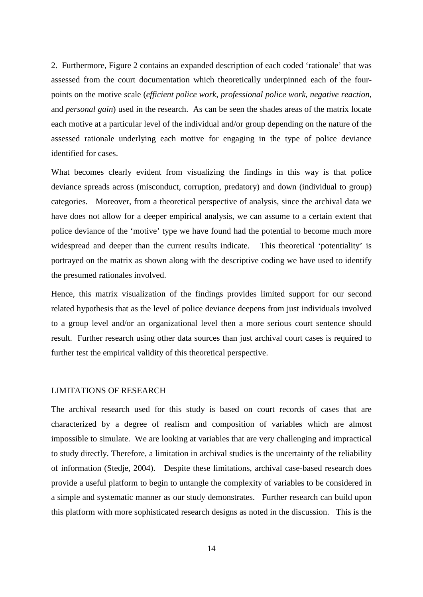2. Furthermore, Figure 2 contains an expanded description of each coded 'rationale' that was assessed from the court documentation which theoretically underpinned each of the fourpoints on the motive scale (*efficient police work, professional police work, negative reaction*, and *personal gain*) used in the research. As can be seen the shades areas of the matrix locate each motive at a particular level of the individual and/or group depending on the nature of the assessed rationale underlying each motive for engaging in the type of police deviance identified for cases.

What becomes clearly evident from visualizing the findings in this way is that police deviance spreads across (misconduct, corruption, predatory) and down (individual to group) categories. Moreover, from a theoretical perspective of analysis, since the archival data we have does not allow for a deeper empirical analysis, we can assume to a certain extent that police deviance of the 'motive' type we have found had the potential to become much more widespread and deeper than the current results indicate. This theoretical 'potentiality' is portrayed on the matrix as shown along with the descriptive coding we have used to identify the presumed rationales involved.

Hence, this matrix visualization of the findings provides limited support for our second related hypothesis that as the level of police deviance deepens from just individuals involved to a group level and/or an organizational level then a more serious court sentence should result. Further research using other data sources than just archival court cases is required to further test the empirical validity of this theoretical perspective.

#### LIMITATIONS OF RESEARCH

The archival research used for this study is based on court records of cases that are characterized by a degree of realism and composition of variables which are almost impossible to simulate. We are looking at variables that are very challenging and impractical to study directly. Therefore, a limitation in archival studies is the uncertainty of the reliability of information (Stedje, 2004). Despite these limitations, archival case-based research does provide a useful platform to begin to untangle the complexity of variables to be considered in a simple and systematic manner as our study demonstrates. Further research can build upon this platform with more sophisticated research designs as noted in the discussion. This is the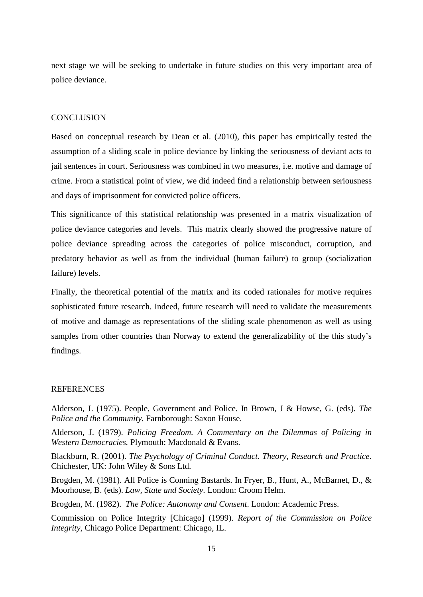next stage we will be seeking to undertake in future studies on this very important area of police deviance.

#### **CONCLUSION**

Based on conceptual research by Dean et al. (2010), this paper has empirically tested the assumption of a sliding scale in police deviance by linking the seriousness of deviant acts to jail sentences in court. Seriousness was combined in two measures, i.e. motive and damage of crime. From a statistical point of view, we did indeed find a relationship between seriousness and days of imprisonment for convicted police officers.

This significance of this statistical relationship was presented in a matrix visualization of police deviance categories and levels. This matrix clearly showed the progressive nature of police deviance spreading across the categories of police misconduct, corruption, and predatory behavior as well as from the individual (human failure) to group (socialization failure) levels.

Finally, the theoretical potential of the matrix and its coded rationales for motive requires sophisticated future research. Indeed, future research will need to validate the measurements of motive and damage as representations of the sliding scale phenomenon as well as using samples from other countries than Norway to extend the generalizability of the this study's findings.

#### **REFERENCES**

Alderson, J. (1975). People, Government and Police. In Brown, J & Howse, G. (eds). *The Police and the Community.* Farnborough: Saxon House.

Alderson, J. (1979). *Policing Freedom. A Commentary on the Dilemmas of Policing in Western Democracies.* Plymouth: Macdonald & Evans.

Blackburn, R. (2001). *The Psychology of Criminal Conduct. Theory, Research and Practice*. Chichester, UK: John Wiley & Sons Ltd.

Brogden, M. (1981). All Police is Conning Bastards. In Fryer, B., Hunt, A., McBarnet, D., & Moorhouse, B. (eds). *Law, State and Society*. London: Croom Helm.

Brogden, M. (1982). *The Police: Autonomy and Consent*. London: Academic Press.

Commission on Police Integrity [Chicago] (1999). *Report of the Commission on Police Integrity*, Chicago Police Department: Chicago, IL.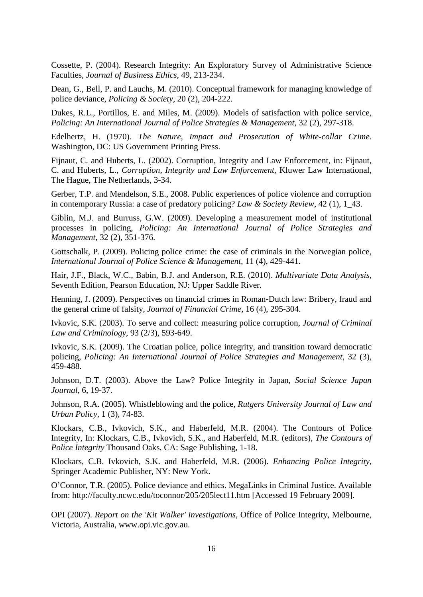Cossette, P. (2004). Research Integrity: An Exploratory Survey of Administrative Science Faculties, *Journal of Business Ethics*, 49, 213-234.

Dean, G., Bell, P. and Lauchs, M. (2010). Conceptual framework for managing knowledge of police deviance, *Policing & Society*, 20 (2), 204-222.

Dukes, R.L., Portillos, E. and Miles, M. (2009). Models of satisfaction with police service, *Policing: An International Journal of Police Strategies & Management*, 32 (2), 297-318.

Edelhertz, H. (1970). *The Nature, Impact and Prosecution of White-collar Crime*. Washington, DC: US Government Printing Press.

Fijnaut, C. and Huberts, L. (2002). Corruption, Integrity and Law Enforcement, in: Fijnaut, C. and Huberts, L., *Corruption, Integrity and Law Enforcement*, Kluwer Law International, The Hague, The Netherlands, 3-34.

Gerber, T.P. and Mendelson, S.E., 2008. Public experiences of police violence and corruption in contemporary Russia: a case of predatory policing? *Law & Society Review*, 42 (1), 1\_43.

Giblin, M.J. and Burruss, G.W. (2009). Developing a measurement model of institutional processes in policing, *Policing: An International Journal of Police Strategies and Management*, 32 (2), 351-376.

Gottschalk, P. (2009). Policing police crime: the case of criminals in the Norwegian police, *International Journal of Police Science & Management*, 11 (4), 429-441.

Hair, J.F., Black, W.C., Babin, B.J. and Anderson, R.E. (2010). *Multivariate Data Analysis*, Seventh Edition, Pearson Education, NJ: Upper Saddle River.

Henning, J. (2009). Perspectives on financial crimes in Roman-Dutch law: Bribery, fraud and the general crime of falsity, *Journal of Financial Crime*, 16 (4), 295-304.

Ivkovic, S.K. (2003). To serve and collect: measuring police corruption, *Journal of Criminal Law and Criminology*, 93 (2/3), 593-649.

Ivkovic, S.K. (2009). The Croatian police, police integrity, and transition toward democratic policing, *Policing: An International Journal of Police Strategies and Management*, 32 (3), 459-488.

Johnson, D.T. (2003). Above the Law? Police Integrity in Japan, *Social Science Japan Journal*, 6, 19-37.

Johnson, R.A. (2005). Whistleblowing and the police, *Rutgers University Journal of Law and Urban Policy*, 1 (3), 74-83.

Klockars, C.B., Ivkovich, S.K., and Haberfeld, M.R. (2004). The Contours of Police Integrity, In: Klockars, C.B., Ivkovich, S.K., and Haberfeld, M.R. (editors), *The Contours of Police Integrity* Thousand Oaks, CA: Sage Publishing, 1-18.

Klockars, C.B. Ivkovich, S.K. and Haberfeld, M.R. (2006). *Enhancing Police Integrity*, Springer Academic Publisher, NY: New York.

O'Connor, T.R. (2005). Police deviance and ethics. MegaLinks in Criminal Justice. Available from: http://faculty.ncwc.edu/toconnor/205/205lect11.htm [Accessed 19 February 2009].

OPI (2007). *Report on the 'Kit Walker' investigations*, Office of Police Integrity, Melbourne, Victoria, Australia, www.opi.vic.gov.au.